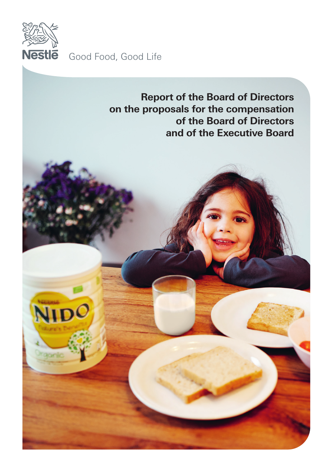

Good Food, Good Life

**Report of the Board of Directors on the proposals for the compensation of the Board of Directors and of the Executive Board**

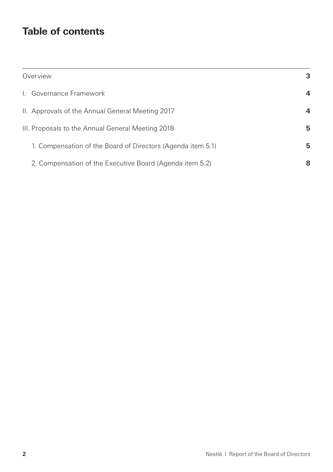# **Table of contents**

| Overview                                                    | 3 |
|-------------------------------------------------------------|---|
| I. Governance Framework                                     | 4 |
| II. Approvals of the Annual General Meeting 2017            | 4 |
| III. Proposals to the Annual General Meeting 2018           | 5 |
| 1. Compensation of the Board of Directors (Agenda item 5.1) | 5 |
| 2. Compensation of the Executive Board (Agenda item 5.2)    | 8 |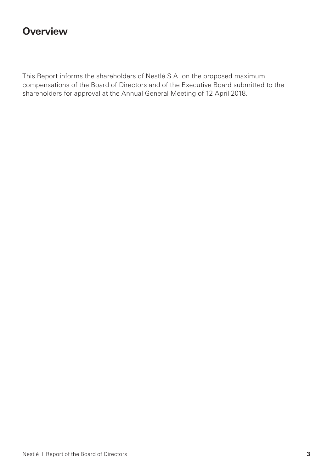## **Overview**

This Report informs the shareholders of Nestlé S.A. on the proposed maximum compensations of the Board of Directors and of the Executive Board submitted to the shareholders for approval at the Annual General Meeting of 12 April 2018.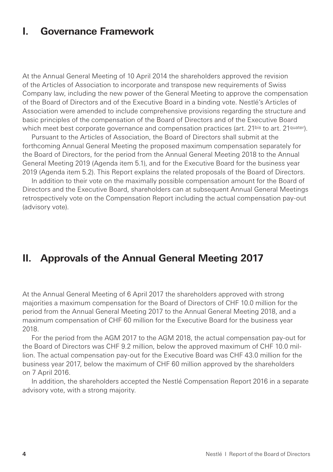### **I. Governance Framework**

At the Annual General Meeting of 10 April 2014 the shareholders approved the revision of the Articles of Association to incorporate and transpose new requirements of Swiss Company law, including the new power of the General Meeting to approve the compensation of the Board of Directors and of the Executive Board in a binding vote. Nestlé's Articles of Association were amended to include comprehensive provisions regarding the structure and basic principles of the compensation of the Board of Directors and of the Executive Board which meet best corporate governance and compensation practices (art. 21bis to art. 21quater).

Pursuant to the Articles of Association, the Board of Directors shall submit at the forthcoming Annual General Meeting the proposed maximum compensation separately for the Board of Directors, for the period from the Annual General Meeting 2018 to the Annual General Meeting 2019 (Agenda item 5.1), and for the Executive Board for the business year 2019 (Agenda item 5.2). This Report explains the related proposals of the Board of Directors.

In addition to their vote on the maximally possible compensation amount for the Board of Directors and the Executive Board, shareholders can at subsequent Annual General Meetings retrospectively vote on the Compensation Report including the actual compensation pay-out (advisory vote).

### **II. Approvals of the Annual General Meeting 2017**

At the Annual General Meeting of 6 April 2017 the shareholders approved with strong majorities a maximum compensation for the Board of Directors of CHF 10.0 million for the period from the Annual General Meeting 2017 to the Annual General Meeting 2018, and a maximum compensation of CHF 60 million for the Executive Board for the business year 2018.

For the period from the AGM 2017 to the AGM 2018, the actual compensation pay-out for the Board of Directors was CHF 9.2 million, below the approved maximum of CHF 10.0 million. The actual compensation pay-out for the Executive Board was CHF 43.0 million for the business year 2017, below the maximum of CHF 60 million approved by the shareholders on 7 April 2016.

In addition, the shareholders accepted the Nestlé Compensation Report 2016 in a separate advisory vote, with a strong majority.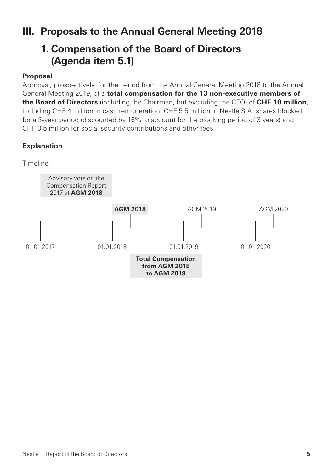# **III. Proposals to the Annual General Meeting 2018**

# **1. Compensation of the Board of Directors (Agenda item 5.1)**

### **Proposal**

Approval, prospectively, for the period from the Annual General Meeting 2018 to the Annual General Meeting 2019, of a **total compensation for the 13 non-executive members of the Board of Directors** (including the Chairman, but excluding the CEO) of **CHF 10 million**, including CHF 4 million in cash remuneration, CHF 5.5 million in Nestlé S.A. shares blocked for a 3-year period (discounted by 16% to account for the blocking period of 3 years) and CHF 0.5 million for social security contributions and other fees.

### **Explanation**

Timeline:

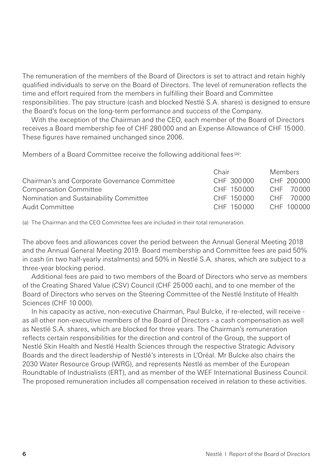The remuneration of the members of the Board of Directors is set to attract and retain highly qualified individuals to serve on the Board of Directors. The level of remuneration reflects the time and effort required from the members in fulfilling their Board and Committee responsibilities. The pay structure (cash and blocked Nestlé S.A. shares) is designed to ensure the Board's focus on the long-term performance and success of the Company.

With the exception of the Chairman and the CEO, each member of the Board of Directors receives a Board membership fee of CHF 280000 and an Expense Allowance of CHF 15000. These figures have remained unchanged since 2006.

Members of a Board Committee receive the following additional fees (a):

|                                               | Chair      | Members    |
|-----------------------------------------------|------------|------------|
| Chairman's and Corporate Governance Committee | CHF 300000 | CHF 200000 |
| <b>Compensation Committee</b>                 | CHE 150000 | CHF 70000  |
| Nomination and Sustainability Committee       | CHE 150000 | CHF 70000  |
| Audit Committee                               | CHE 150000 | CHE 100000 |

(a) The Chairman and the CEO Committee fees are included in their total remuneration.

The above fees and allowances cover the period between the Annual General Meeting 2018 and the Annual General Meeting 2019. Board membership and Committee fees are paid 50% in cash (in two half-yearly instalments) and 50% in Nestlé S.A. shares, which are subject to a three-year blocking period.

Additional fees are paid to two members of the Board of Directors who serve as members of the Creating Shared Value (CSV) Council (CHF 25000 each), and to one member of the Board of Directors who serves on the Steering Committee of the Nestlé Institute of Health Sciences (CHF 10 000).

In his capacity as active, non-executive Chairman, Paul Bulcke, if re-elected, will receive as all other non-executive members of the Board of Directors - a cash compensation as well as Nestlé S.A. shares, which are blocked for three years. The Chairman's remuneration reflects certain responsibilities for the direction and control of the Group, the support of Nestlé Skin Health and Nestlé Health Sciences through the respective Strategic Advisory Boards and the direct leadership of Nestlé's interests in L'Oréal. Mr Bulcke also chairs the 2030 Water Resource Group (WRG), and represents Nestlé as member of the European Roundtable of Industrialists (ERT), and as member of the WEF International Business Council. The proposed remuneration includes all compensation received in relation to these activities.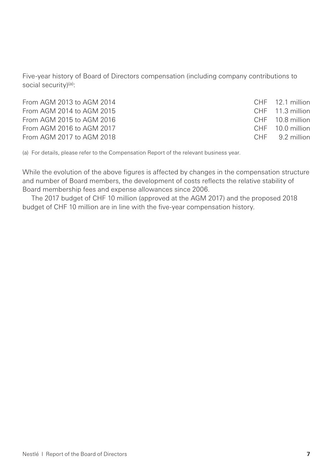Five-year history of Board of Directors compensation (including company contributions to social security)(a):

| CHF 12.1 million |
|------------------|
| CHF 11.3 million |
| CHF 10.8 million |
| CHF 10.0 million |
| CHF 9.2 million  |
|                  |

(a) For details, please refer to the Compensation Report of the relevant business year.

While the evolution of the above figures is affected by changes in the compensation structure and number of Board members, the development of costs reflects the relative stability of Board membership fees and expense allowances since 2006.

The 2017 budget of CHF 10 million (approved at the AGM 2017) and the proposed 2018 budget of CHF 10 million are in line with the five-year compensation history.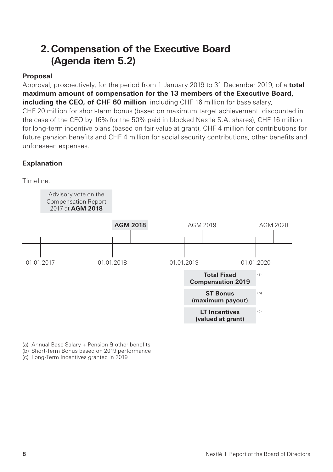# **2. Compensation of the Executive Board (Agenda item 5.2)**

### **Proposal**

Approval, prospectively, for the period from 1 January 2019 to 31 December 2019, of a **total maximum amount of compensation for the 13 members of the Executive Board, including the CEO, of CHF 60 million**, including CHF 16 million for base salary, CHF 20 million for short-term bonus (based on maximum target achievement, discounted in the case of the CEO by 16% for the 50% paid in blocked Nestlé S.A. shares), CHF 16 million for long-term incentive plans (based on fair value at grant), CHF 4 million for contributions for future pension benefits and CHF 4 million for social security contributions, other benefits and unforeseen expenses.

### **Explanation**



(a) Annual Base Salary + Pension & other benefits

(b) Short-Term Bonus based on 2019 performance

(c) Long-Term Incentives granted in 2019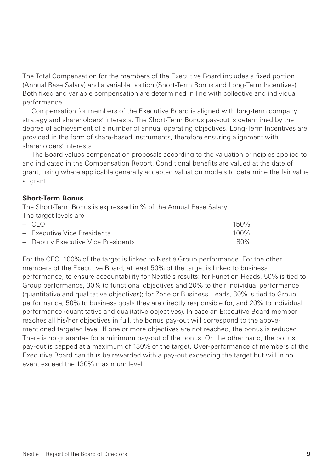The Total Compensation for the members of the Executive Board includes a fixed portion (Annual Base Salary) and a variable portion (Short-Term Bonus and Long-Term Incentives). Both fixed and variable compensation are determined in line with collective and individual performance.

Compensation for members of the Executive Board is aligned with long-term company strategy and shareholders' interests. The Short-Term Bonus pay-out is determined by the degree of achievement of a number of annual operating objectives. Long-Term Incentives are provided in the form of share-based instruments, therefore ensuring alignment with shareholders' interests.

The Board values compensation proposals according to the valuation principles applied to and indicated in the Compensation Report. Conditional benefits are valued at the date of grant, using where applicable generally accepted valuation models to determine the fair value at grant.

#### **Short-Term Bonus**

The Short-Term Bonus is expressed in % of the Annual Base Salary.

| The target levels are:             |         |
|------------------------------------|---------|
| $-$ CFO.                           | $150\%$ |
| - Executive Vice Presidents        | $100\%$ |
| - Deputy Executive Vice Presidents | 80%     |

For the CEO, 100% of the target is linked to Nestlé Group performance. For the other members of the Executive Board, at least 50% of the target is linked to business performance, to ensure accountability for Nestlé's results: for Function Heads, 50% is tied to Group performance, 30% to functional objectives and 20% to their individual performance (quantitative and qualitative objectives); for Zone or Business Heads, 30% is tied to Group performance, 50% to business goals they are directly responsible for, and 20% to individual performance (quantitative and qualitative objectives). In case an Executive Board member reaches all his/her objectives in full, the bonus pay-out will correspond to the abovementioned targeted level. If one or more objectives are not reached, the bonus is reduced. There is no guarantee for a minimum pay-out of the bonus. On the other hand, the bonus pay-out is capped at a maximum of 130% of the target. Over-performance of members of the Executive Board can thus be rewarded with a pay-out exceeding the target but will in no event exceed the 130% maximum level.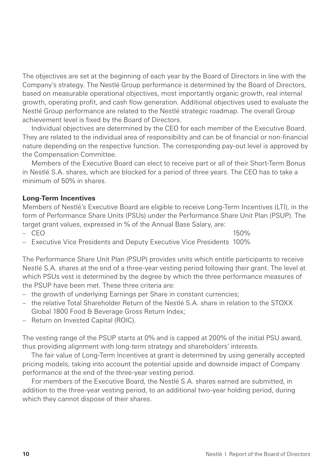The objectives are set at the beginning of each year by the Board of Directors in line with the Company's strategy. The Nestlé Group performance is determined by the Board of Directors, based on measurable operational objectives, most importantly organic growth, real internal growth, operating profit, and cash flow generation. Additional objectives used to evaluate the Nestlé Group performance are related to the Nestlé strategic roadmap. The overall Group achievement level is fixed by the Board of Directors.

Individual objectives are determined by the CEO for each member of the Executive Board. They are related to the individual area of responsibility and can be of financial or non-financial nature depending on the respective function. The corresponding pay-out level is approved by the Compensation Committee.

Members of the Executive Board can elect to receive part or all of their Short-Term Bonus in Nestlé S.A. shares, which are blocked for a period of three years. The CEO has to take a minimum of 50% in shares.

### **Long-Term Incentives**

Members of Nestlé's Executive Board are eligible to receive Long-Term Incentives (LTI), in the form of Performance Share Units (PSUs) under the Performance Share Unit Plan (PSUP). The target grant values, expressed in % of the Annual Base Salary, are:

– CEO 150%

– Executive Vice Presidents and Deputy Executive Vice Presidents 100%

The Performance Share Unit Plan (PSUP) provides units which entitle participants to receive Nestlé S.A. shares at the end of a three-year vesting period following their grant. The level at which PSUs vest is determined by the degree by which the three performance measures of the PSUP have been met. These three criteria are:

- the growth of underlying Earnings per Share in constant currencies;
- the relative Total Shareholder Return of the Nestlé S.A. share in relation to the STOXX Global 1800 Food & Beverage Gross Return Index;
- Return on Invested Capital (ROIC).

The vesting range of the PSUP starts at 0% and is capped at 200% of the initial PSU award, thus providing alignment with long-term strategy and shareholders' interests.

The fair value of Long-Term Incentives at grant is determined by using generally accepted pricing models, taking into account the potential upside and downside impact of Company performance at the end of the three-year vesting period.

For members of the Executive Board, the Nestlé S.A. shares earned are submitted, in addition to the three-year vesting period, to an additional two-year holding period, during which they cannot dispose of their shares.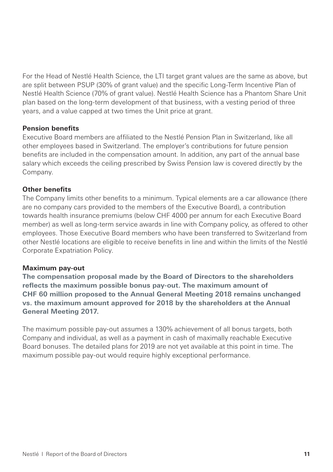For the Head of Nestlé Health Science, the LTI target grant values are the same as above, but are split between PSUP (30% of grant value) and the specific Long-Term Incentive Plan of Nestlé Health Science (70% of grant value). Nestlé Health Science has a Phantom Share Unit plan based on the long-term development of that business, with a vesting period of three years, and a value capped at two times the Unit price at grant.

### **Pension benefits**

Executive Board members are affiliated to the Nestlé Pension Plan in Switzerland, like all other employees based in Switzerland. The employer's contributions for future pension benefits are included in the compensation amount. In addition, any part of the annual base salary which exceeds the ceiling prescribed by Swiss Pension law is covered directly by the Company.

### **Other benefits**

The Company limits other benefits to a minimum. Typical elements are a car allowance (there are no company cars provided to the members of the Executive Board), a contribution towards health insurance premiums (below CHF 4000 per annum for each Executive Board member) as well as long-term service awards in line with Company policy, as offered to other employees. Those Executive Board members who have been transferred to Switzerland from other Nestlé locations are eligible to receive benefits in line and within the limits of the Nestlé Corporate Expatriation Policy.

#### **Maximum pay-out**

**The compensation proposal made by the Board of Directors to the shareholders reflects the maximum possible bonus pay-out. The maximum amount of CHF 60 million proposed to the Annual General Meeting 2018 remains unchanged vs. the maximum amount approved for 2018 by the shareholders at the Annual General Meeting 2017.**

The maximum possible pay-out assumes a 130% achievement of all bonus targets, both Company and individual, as well as a payment in cash of maximally reachable Executive Board bonuses. The detailed plans for 2019 are not yet available at this point in time. The maximum possible pay-out would require highly exceptional performance.